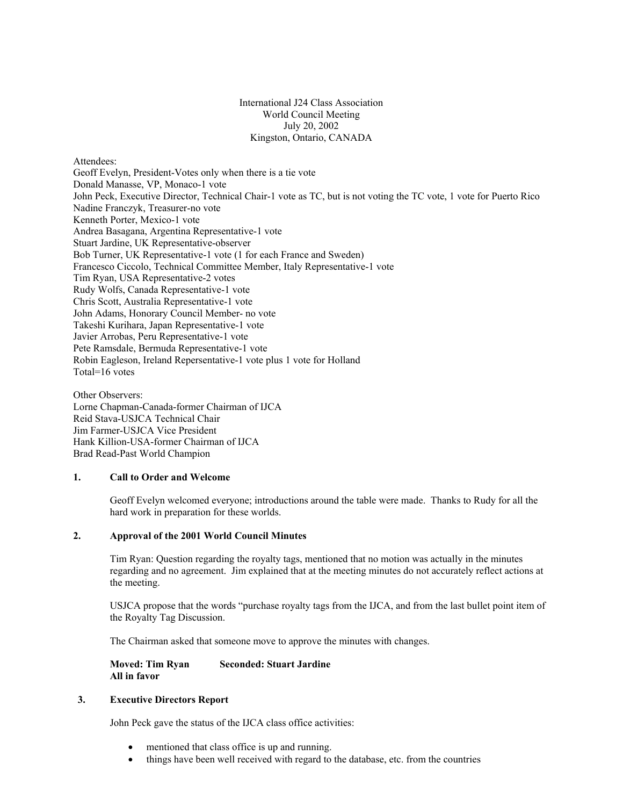International J24 Class Association World Council Meeting July 20, 2002 Kingston, Ontario, CANADA

Attendees: Geoff Evelyn, President-Votes only when there is a tie vote Donald Manasse, VP, Monaco-1 vote John Peck, Executive Director, Technical Chair-1 vote as TC, but is not voting the TC vote, 1 vote for Puerto Rico Nadine Franczyk, Treasurer-no vote Kenneth Porter, Mexico-1 vote Andrea Basagana, Argentina Representative-1 vote Stuart Jardine, UK Representative-observer Bob Turner, UK Representative-1 vote (1 for each France and Sweden) Francesco Ciccolo, Technical Committee Member, Italy Representative-1 vote Tim Ryan, USA Representative-2 votes Rudy Wolfs, Canada Representative-1 vote Chris Scott, Australia Representative-1 vote John Adams, Honorary Council Member- no vote Takeshi Kurihara, Japan Representative-1 vote Javier Arrobas, Peru Representative-1 vote Pete Ramsdale, Bermuda Representative-1 vote Robin Eagleson, Ireland Repersentative-1 vote plus 1 vote for Holland Total=16 votes

Other Observers: Lorne Chapman-Canada-former Chairman of IJCA Reid Stava-USJCA Technical Chair Jim Farmer-USJCA Vice President Hank Killion-USA-former Chairman of IJCA Brad Read-Past World Champion

## **1. Call to Order and Welcome**

Geoff Evelyn welcomed everyone; introductions around the table were made. Thanks to Rudy for all the hard work in preparation for these worlds.

### **2. Approval of the 2001 World Council Minutes**

Tim Ryan: Question regarding the royalty tags, mentioned that no motion was actually in the minutes regarding and no agreement. Jim explained that at the meeting minutes do not accurately reflect actions at the meeting.

USJCA propose that the words "purchase royalty tags from the IJCA, and from the last bullet point item of the Royalty Tag Discussion.

The Chairman asked that someone move to approve the minutes with changes.

### **Moved: Tim Ryan Seconded: Stuart Jardine All in favor**

# **3. Executive Directors Report**

John Peck gave the status of the IJCA class office activities:

- mentioned that class office is up and running.
- things have been well received with regard to the database, etc. from the countries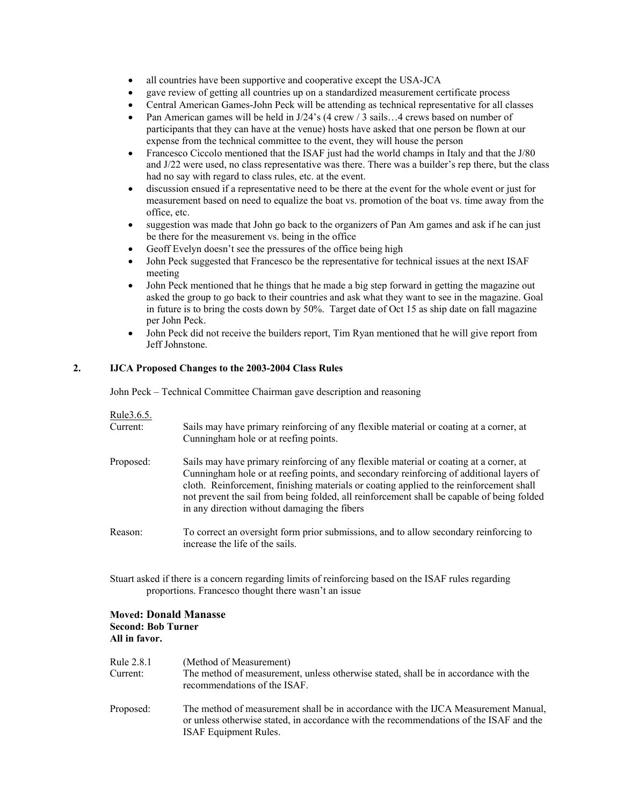- all countries have been supportive and cooperative except the USA-JCA
- gave review of getting all countries up on a standardized measurement certificate process
- Central American Games-John Peck will be attending as technical representative for all classes
- Pan American games will be held in J/24's (4 crew / 3 sails…4 crews based on number of participants that they can have at the venue) hosts have asked that one person be flown at our expense from the technical committee to the event, they will house the person
- Francesco Ciccolo mentioned that the ISAF just had the world champs in Italy and that the J/80 and J/22 were used, no class representative was there. There was a builder's rep there, but the class had no say with regard to class rules, etc. at the event.
- discussion ensued if a representative need to be there at the event for the whole event or just for measurement based on need to equalize the boat vs. promotion of the boat vs. time away from the office, etc.
- suggestion was made that John go back to the organizers of Pan Am games and ask if he can just be there for the measurement vs. being in the office
- Geoff Evelyn doesn't see the pressures of the office being high
- John Peck suggested that Francesco be the representative for technical issues at the next ISAF meeting
- John Peck mentioned that he things that he made a big step forward in getting the magazine out asked the group to go back to their countries and ask what they want to see in the magazine. Goal in future is to bring the costs down by 50%. Target date of Oct 15 as ship date on fall magazine per John Peck.
- John Peck did not receive the builders report, Tim Ryan mentioned that he will give report from Jeff Johnstone.

## **2. IJCA Proposed Changes to the 2003-2004 Class Rules**

John Peck – Technical Committee Chairman gave description and reasoning

| Rule 3.6.5.<br>Current: | Sails may have primary reinforcing of any flexible material or coating at a corner, at<br>Cunningham hole or at reefing points.                                                                                                                                                                                                                                                                                            |
|-------------------------|----------------------------------------------------------------------------------------------------------------------------------------------------------------------------------------------------------------------------------------------------------------------------------------------------------------------------------------------------------------------------------------------------------------------------|
| Proposed:               | Sails may have primary reinforcing of any flexible material or coating at a corner, at<br>Cunningham hole or at reefing points, and secondary reinforcing of additional layers of<br>cloth. Reinforcement, finishing materials or coating applied to the reinforcement shall<br>not prevent the sail from being folded, all reinforcement shall be capable of being folded<br>in any direction without damaging the fibers |
| Reason:                 | To correct an oversight form prior submissions, and to allow secondary reinforcing to<br>increase the life of the sails.                                                                                                                                                                                                                                                                                                   |

Stuart asked if there is a concern regarding limits of reinforcing based on the ISAF rules regarding proportions. Francesco thought there wasn't an issue

### **Moved: Donald Manasse Second: Bob Turner All in favor.**

| Rule 2.8.1<br>Current: | (Method of Measurement)<br>The method of measurement, unless otherwise stated, shall be in accordance with the<br>recommendations of the ISAF.                                                               |
|------------------------|--------------------------------------------------------------------------------------------------------------------------------------------------------------------------------------------------------------|
| Proposed:              | The method of measurement shall be in accordance with the IJCA Measurement Manual,<br>or unless otherwise stated, in accordance with the recommendations of the ISAF and the<br><b>ISAF Equipment Rules.</b> |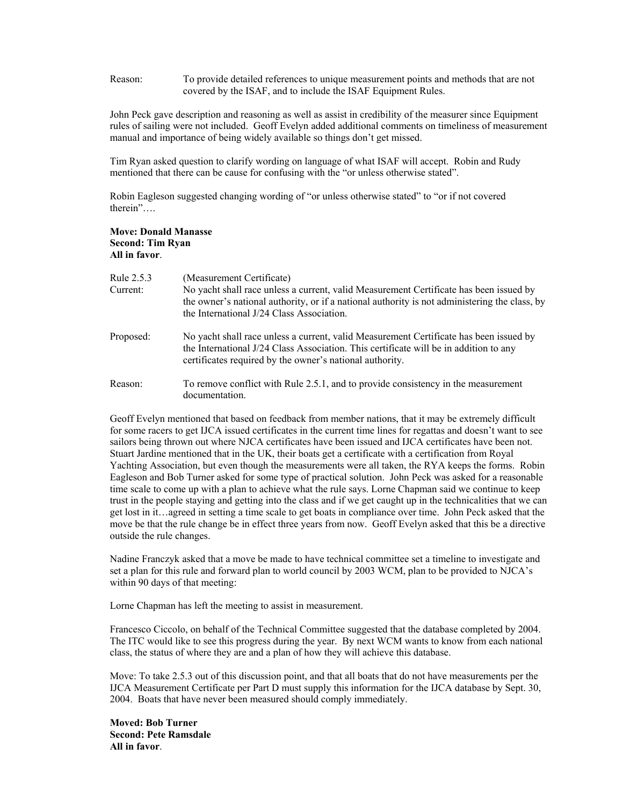Reason: To provide detailed references to unique measurement points and methods that are not covered by the ISAF, and to include the ISAF Equipment Rules.

John Peck gave description and reasoning as well as assist in credibility of the measurer since Equipment rules of sailing were not included. Geoff Evelyn added additional comments on timeliness of measurement manual and importance of being widely available so things don't get missed.

Tim Ryan asked question to clarify wording on language of what ISAF will accept. Robin and Rudy mentioned that there can be cause for confusing with the "or unless otherwise stated".

Robin Eagleson suggested changing wording of "or unless otherwise stated" to "or if not covered therein"….

### **Move: Donald Manasse Second: Tim Ryan All in favor**.

| Rule 2.5.3<br>Current: | (Measurement Certificate)<br>No yacht shall race unless a current, valid Measurement Certificate has been issued by<br>the owner's national authority, or if a national authority is not administering the class, by<br>the International J/24 Class Association. |
|------------------------|-------------------------------------------------------------------------------------------------------------------------------------------------------------------------------------------------------------------------------------------------------------------|
| Proposed:              | No yacht shall race unless a current, valid Measurement Certificate has been issued by<br>the International J/24 Class Association. This certificate will be in addition to any<br>certificates required by the owner's national authority.                       |
| Reason:                | To remove conflict with Rule 2.5.1, and to provide consistency in the measurement<br>documentation                                                                                                                                                                |

Geoff Evelyn mentioned that based on feedback from member nations, that it may be extremely difficult for some racers to get IJCA issued certificates in the current time lines for regattas and doesn't want to see sailors being thrown out where NJCA certificates have been issued and IJCA certificates have been not. Stuart Jardine mentioned that in the UK, their boats get a certificate with a certification from Royal Yachting Association, but even though the measurements were all taken, the RYA keeps the forms. Robin Eagleson and Bob Turner asked for some type of practical solution. John Peck was asked for a reasonable time scale to come up with a plan to achieve what the rule says. Lorne Chapman said we continue to keep trust in the people staying and getting into the class and if we get caught up in the technicalities that we can get lost in it…agreed in setting a time scale to get boats in compliance over time. John Peck asked that the move be that the rule change be in effect three years from now. Geoff Evelyn asked that this be a directive outside the rule changes.

Nadine Franczyk asked that a move be made to have technical committee set a timeline to investigate and set a plan for this rule and forward plan to world council by 2003 WCM, plan to be provided to NJCA's within 90 days of that meeting:

Lorne Chapman has left the meeting to assist in measurement.

Francesco Ciccolo, on behalf of the Technical Committee suggested that the database completed by 2004. The ITC would like to see this progress during the year. By next WCM wants to know from each national class, the status of where they are and a plan of how they will achieve this database.

Move: To take 2.5.3 out of this discussion point, and that all boats that do not have measurements per the IJCA Measurement Certificate per Part D must supply this information for the IJCA database by Sept. 30, 2004. Boats that have never been measured should comply immediately.

**Moved: Bob Turner Second: Pete Ramsdale All in favor**.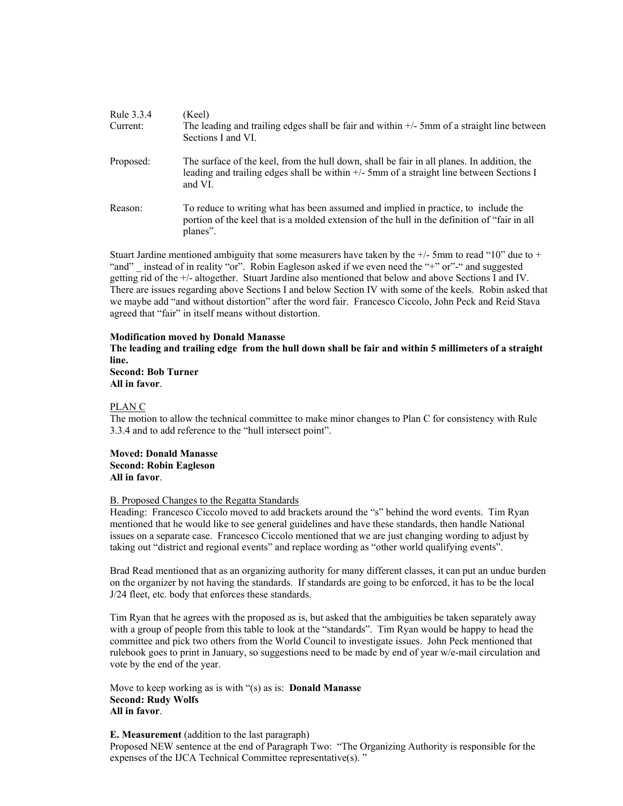| (Keel)<br>The leading and trailing edges shall be fair and within $+/-$ 5mm of a straight line between<br>Sections I and VI.                                                                             |
|----------------------------------------------------------------------------------------------------------------------------------------------------------------------------------------------------------|
| The surface of the keel, from the hull down, shall be fair in all planes. In addition, the<br>leading and trailing edges shall be within $+\prime$ -5mm of a straight line between Sections I<br>and VI. |
| To reduce to writing what has been assumed and implied in practice, to include the<br>portion of the keel that is a molded extension of the hull in the definition of "fair in all<br>planes".           |
|                                                                                                                                                                                                          |

Stuart Jardine mentioned ambiguity that some measurers have taken by the  $+/-$  5mm to read "10" due to  $+$ "and" \_ instead of in reality "or". Robin Eagleson asked if we even need the "+" or"-" and suggested getting rid of the +/- altogether. Stuart Jardine also mentioned that below and above Sections I and IV. There are issues regarding above Sections I and below Section IV with some of the keels. Robin asked that we maybe add "and without distortion" after the word fair. Francesco Ciccolo, John Peck and Reid Stava agreed that "fair" in itself means without distortion.

### **Modification moved by Donald Manasse**

**The leading and trailing edge from the hull down shall be fair and within 5 millimeters of a straight line.** 

**Second: Bob Turner All in favor**.

#### PLAN C

The motion to allow the technical committee to make minor changes to Plan C for consistency with Rule 3.3.4 and to add reference to the "hull intersect point".

#### **Moved: Donald Manasse Second: Robin Eagleson All in favor**.

#### B. Proposed Changes to the Regatta Standards

Heading: Francesco Ciccolo moved to add brackets around the "s" behind the word events. Tim Ryan mentioned that he would like to see general guidelines and have these standards, then handle National issues on a separate case. Francesco Ciccolo mentioned that we are just changing wording to adjust by taking out "district and regional events" and replace wording as "other world qualifying events".

Brad Read mentioned that as an organizing authority for many different classes, it can put an undue burden on the organizer by not having the standards. If standards are going to be enforced, it has to be the local J/24 fleet, etc. body that enforces these standards.

Tim Ryan that he agrees with the proposed as is, but asked that the ambiguities be taken separately away with a group of people from this table to look at the "standards". Tim Ryan would be happy to head the committee and pick two others from the World Council to investigate issues. John Peck mentioned that rulebook goes to print in January, so suggestions need to be made by end of year w/e-mail circulation and vote by the end of the year.

Move to keep working as is with "(s) as is: **Donald Manasse Second: Rudy Wolfs All in favor**.

### **E. Measurement** (addition to the last paragraph)

Proposed NEW sentence at the end of Paragraph Two: "The Organizing Authority is responsible for the expenses of the IJCA Technical Committee representative(s). "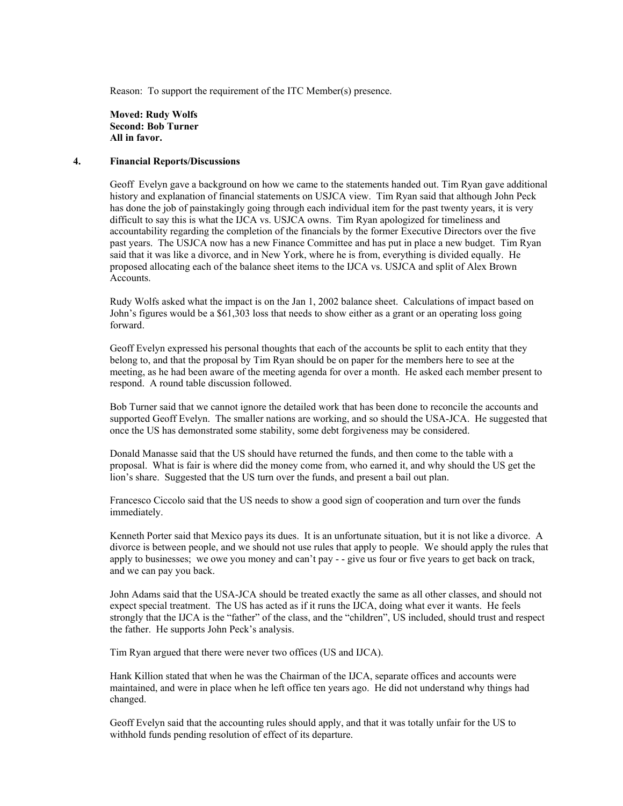Reason: To support the requirement of the ITC Member(s) presence.

**Moved: Rudy Wolfs Second: Bob Turner All in favor.** 

### **4. Financial Reports/Discussions**

Geoff Evelyn gave a background on how we came to the statements handed out. Tim Ryan gave additional history and explanation of financial statements on USJCA view. Tim Ryan said that although John Peck has done the job of painstakingly going through each individual item for the past twenty years, it is very difficult to say this is what the IJCA vs. USJCA owns. Tim Ryan apologized for timeliness and accountability regarding the completion of the financials by the former Executive Directors over the five past years. The USJCA now has a new Finance Committee and has put in place a new budget. Tim Ryan said that it was like a divorce, and in New York, where he is from, everything is divided equally. He proposed allocating each of the balance sheet items to the IJCA vs. USJCA and split of Alex Brown Accounts.

Rudy Wolfs asked what the impact is on the Jan 1, 2002 balance sheet. Calculations of impact based on John's figures would be a \$61,303 loss that needs to show either as a grant or an operating loss going forward.

Geoff Evelyn expressed his personal thoughts that each of the accounts be split to each entity that they belong to, and that the proposal by Tim Ryan should be on paper for the members here to see at the meeting, as he had been aware of the meeting agenda for over a month. He asked each member present to respond. A round table discussion followed.

Bob Turner said that we cannot ignore the detailed work that has been done to reconcile the accounts and supported Geoff Evelyn. The smaller nations are working, and so should the USA-JCA. He suggested that once the US has demonstrated some stability, some debt forgiveness may be considered.

Donald Manasse said that the US should have returned the funds, and then come to the table with a proposal. What is fair is where did the money come from, who earned it, and why should the US get the lion's share. Suggested that the US turn over the funds, and present a bail out plan.

Francesco Ciccolo said that the US needs to show a good sign of cooperation and turn over the funds immediately.

Kenneth Porter said that Mexico pays its dues. It is an unfortunate situation, but it is not like a divorce. A divorce is between people, and we should not use rules that apply to people. We should apply the rules that apply to businesses; we owe you money and can't pay - - give us four or five years to get back on track, and we can pay you back.

John Adams said that the USA-JCA should be treated exactly the same as all other classes, and should not expect special treatment. The US has acted as if it runs the IJCA, doing what ever it wants. He feels strongly that the IJCA is the "father" of the class, and the "children", US included, should trust and respect the father. He supports John Peck's analysis.

Tim Ryan argued that there were never two offices (US and IJCA).

Hank Killion stated that when he was the Chairman of the IJCA, separate offices and accounts were maintained, and were in place when he left office ten years ago. He did not understand why things had changed.

Geoff Evelyn said that the accounting rules should apply, and that it was totally unfair for the US to withhold funds pending resolution of effect of its departure.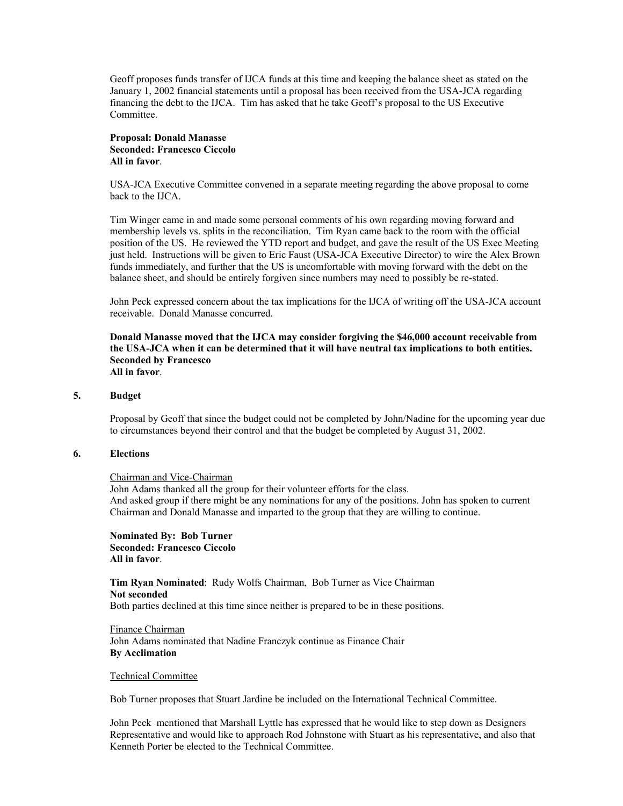Geoff proposes funds transfer of IJCA funds at this time and keeping the balance sheet as stated on the January 1, 2002 financial statements until a proposal has been received from the USA-JCA regarding financing the debt to the IJCA. Tim has asked that he take Geoff's proposal to the US Executive Committee.

## **Proposal: Donald Manasse Seconded: Francesco Ciccolo All in favor**.

USA-JCA Executive Committee convened in a separate meeting regarding the above proposal to come back to the IJCA.

Tim Winger came in and made some personal comments of his own regarding moving forward and membership levels vs. splits in the reconciliation. Tim Ryan came back to the room with the official position of the US. He reviewed the YTD report and budget, and gave the result of the US Exec Meeting just held. Instructions will be given to Eric Faust (USA-JCA Executive Director) to wire the Alex Brown funds immediately, and further that the US is uncomfortable with moving forward with the debt on the balance sheet, and should be entirely forgiven since numbers may need to possibly be re-stated.

John Peck expressed concern about the tax implications for the IJCA of writing off the USA-JCA account receivable. Donald Manasse concurred.

**Donald Manasse moved that the IJCA may consider forgiving the \$46,000 account receivable from the USA-JCA when it can be determined that it will have neutral tax implications to both entities. Seconded by Francesco All in favor**.

### **5. Budget**

Proposal by Geoff that since the budget could not be completed by John/Nadine for the upcoming year due to circumstances beyond their control and that the budget be completed by August 31, 2002.

#### **6. Elections**

#### Chairman and Vice-Chairman

John Adams thanked all the group for their volunteer efforts for the class. And asked group if there might be any nominations for any of the positions. John has spoken to current Chairman and Donald Manasse and imparted to the group that they are willing to continue.

 **Nominated By: Bob Turner Seconded: Francesco Ciccolo All in favor**.

 **Tim Ryan Nominated**: Rudy Wolfs Chairman, Bob Turner as Vice Chairman **Not seconded**  Both parties declined at this time since neither is prepared to be in these positions.

 Finance Chairman John Adams nominated that Nadine Franczyk continue as Finance Chair **By Acclimation** 

#### Technical Committee

Bob Turner proposes that Stuart Jardine be included on the International Technical Committee.

John Peck mentioned that Marshall Lyttle has expressed that he would like to step down as Designers Representative and would like to approach Rod Johnstone with Stuart as his representative, and also that Kenneth Porter be elected to the Technical Committee.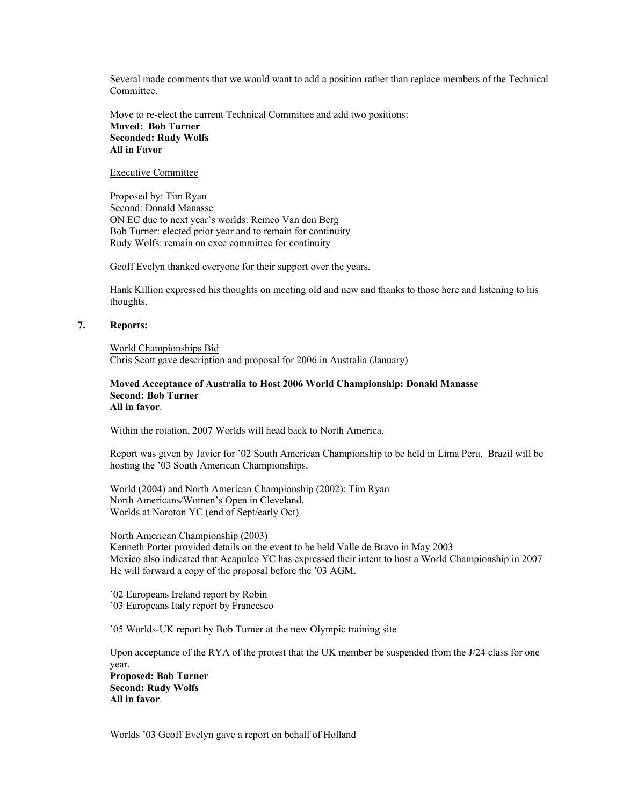Several made comments that we would want to add a position rather than replace members of the Technical Committee.

Move to re-elect the current Technical Committee and add two positions: **Moved: Bob Turner Seconded: Rudy Wolfs All in Favor** 

### Executive Committee

Proposed by: Tim Ryan Second: Donald Manasse ON EC due to next year's worlds: Remco Van den Berg Bob Turner: elected prior year and to remain for continuity Rudy Wolfs: remain on exec committee for continuity

Geoff Evelyn thanked everyone for their support over the years.

Hank Killion expressed his thoughts on meeting old and new and thanks to those here and listening to his thoughts.

## **7. Reports:**

World Championships Bid Chris Scott gave description and proposal for 2006 in Australia (January)

#### **Moved Acceptance of Australia to Host 2006 World Championship: Donald Manasse Second: Bob Turner All in favor**.

Within the rotation, 2007 Worlds will head back to North America.

Report was given by Javier for '02 South American Championship to be held in Lima Peru. Brazil will be hosting the '03 South American Championships.

World (2004) and North American Championship (2002): Tim Ryan North Americans/Women's Open in Cleveland. Worlds at Noroton YC (end of Sept/early Oct)

North American Championship (2003) Kenneth Porter provided details on the event to be held Valle de Bravo in May 2003 Mexico also indicated that Acapulco YC has expressed their intent to host a World Championship in 2007 He will forward a copy of the proposal before the '03 AGM.

'02 Europeans Ireland report by Robin '03 Europeans Italy report by Francesco

'05 Worlds-UK report by Bob Turner at the new Olympic training site

Upon acceptance of the RYA of the protest that the UK member be suspended from the J/24 class for one year. **Proposed: Bob Turner Second: Rudy Wolfs All in favor**.

Worlds '03 Geoff Evelyn gave a report on behalf of Holland